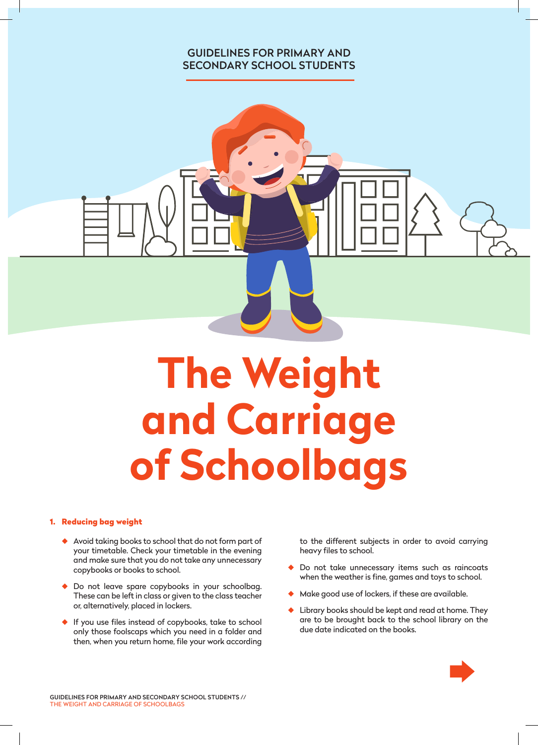## GUIDELINES FOR PRIMARY AND SECONDARY SCHOOL STUDENTS



## **The Weight and Carriage of Schoolbags**

## 1. Reducing bag weight

- ◆ Avoid taking books to school that do not form part of your timetable. Check your timetable in the evening and make sure that you do not take any unnecessary copybooks or books to school.
- Do not leave spare copybooks in your schoolbag. These can be left in class or given to the class teacher or, alternatively, placed in lockers.
- ◆ If you use files instead of copybooks, take to school only those foolscaps which you need in a folder and then, when you return home, file your work according

to the different subjects in order to avoid carrying heavy files to school.

- ◆ Do not take unnecessary items such as raincoats when the weather is fine, games and toys to school.
- ◆ Make good use of lockers, if these are available.
- ◆ Library books should be kept and read at home. They are to be brought back to the school library on the due date indicated on the books.